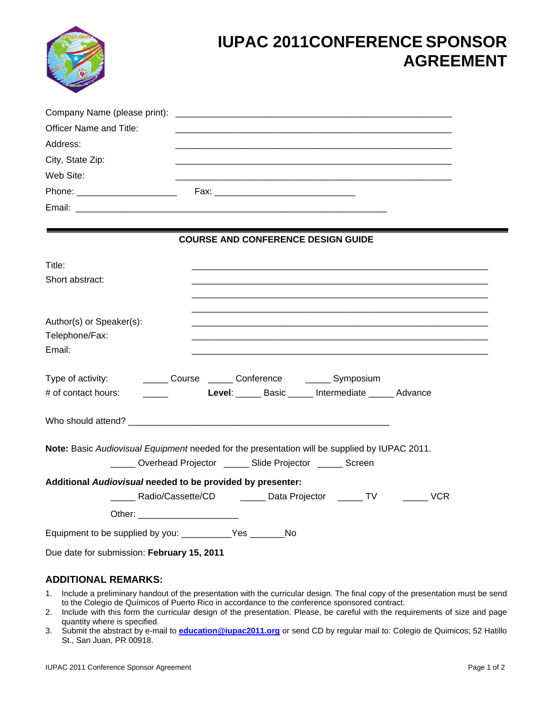|                                                                  | <b>IUPAC 2011CONFERENCE SPONSOR</b><br><b>AGREEMENT</b>                                                                                                         |
|------------------------------------------------------------------|-----------------------------------------------------------------------------------------------------------------------------------------------------------------|
| Officer Name and Title:<br>Address:<br>City, State Zip:          |                                                                                                                                                                 |
| Web Site:                                                        |                                                                                                                                                                 |
|                                                                  | <b>COURSE AND CONFERENCE DESIGN GUIDE</b>                                                                                                                       |
| Title:<br>Short abstract:                                        |                                                                                                                                                                 |
| Author(s) or Speaker(s):<br>Telephone/Fax:<br>Email:             |                                                                                                                                                                 |
| Type of activity:<br># of contact hours:                         | ______ Course ______ Conference _______ Symposium<br>Level: Basic Intermediate Advance                                                                          |
| Who should attend? ______________                                |                                                                                                                                                                 |
|                                                                  | Note: Basic Audiovisual Equipment needed for the presentation will be supplied by IUPAC 2011.<br>______ Overhead Projector ______ Slide Projector ______ Screen |
| Additional Audiovisual needed to be provided by presenter:       |                                                                                                                                                                 |
| Equipment to be supplied by you: ______________Yes ___________No |                                                                                                                                                                 |
| Due date for submission: February 15, 2011                       |                                                                                                                                                                 |

## **ADDITIONAL REMARKS:**

- 1. Include a preliminary handout of the presentation with the curricular design. The final copy of the presentation must be send to the Colegio de Químicos of Puerto Rico in accordance to the conference sponsored contract.
- 2. Include with this form the curricular design of the presentation. Please, be careful with the requirements of size and page quantity where is specified.
- 3. Submit the abstract by e-mail to **education@iupac2011.org** or send CD by regular mail to: Colegio de Quimicos; 52 Hatillo St., San Juan, PR 00918.